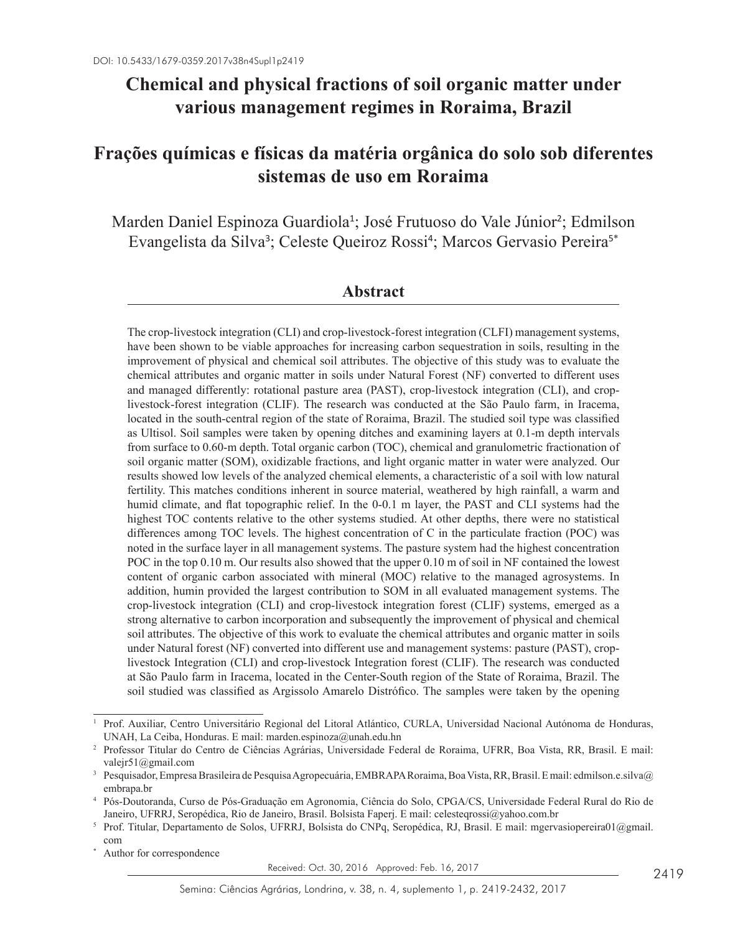# **Chemical and physical fractions of soil organic matter under various management regimes in Roraima, Brazil**

# **Frações químicas e físicas da matéria orgânica do solo sob diferentes sistemas de uso em Roraima**

Marden Daniel Espinoza Guardiola<sup>1</sup>; José Frutuoso do Vale Júnior<sup>2</sup>; Edmilson Evangelista da Silva<sup>3</sup>; Celeste Queiroz Rossi<sup>4</sup>; Marcos Gervasio Pereira<sup>5\*</sup>

#### **Abstract**

The crop-livestock integration (CLI) and crop-livestock-forest integration (CLFI) management systems, have been shown to be viable approaches for increasing carbon sequestration in soils, resulting in the improvement of physical and chemical soil attributes. The objective of this study was to evaluate the chemical attributes and organic matter in soils under Natural Forest (NF) converted to different uses and managed differently: rotational pasture area (PAST), crop-livestock integration (CLI), and croplivestock-forest integration (CLIF). The research was conducted at the São Paulo farm, in Iracema, located in the south-central region of the state of Roraima, Brazil. The studied soil type was classified as Ultisol. Soil samples were taken by opening ditches and examining layers at 0.1-m depth intervals from surface to 0.60-m depth. Total organic carbon (TOC), chemical and granulometric fractionation of soil organic matter (SOM), oxidizable fractions, and light organic matter in water were analyzed. Our results showed low levels of the analyzed chemical elements, a characteristic of a soil with low natural fertility. This matches conditions inherent in source material, weathered by high rainfall, a warm and humid climate, and flat topographic relief. In the 0-0.1 m layer, the PAST and CLI systems had the highest TOC contents relative to the other systems studied. At other depths, there were no statistical differences among TOC levels. The highest concentration of C in the particulate fraction (POC) was noted in the surface layer in all management systems. The pasture system had the highest concentration POC in the top 0.10 m. Our results also showed that the upper 0.10 m of soil in NF contained the lowest content of organic carbon associated with mineral (MOC) relative to the managed agrosystems. In addition, humin provided the largest contribution to SOM in all evaluated management systems. The crop-livestock integration (CLI) and crop-livestock integration forest (CLIF) systems, emerged as a strong alternative to carbon incorporation and subsequently the improvement of physical and chemical soil attributes. The objective of this work to evaluate the chemical attributes and organic matter in soils under Natural forest (NF) converted into different use and management systems: pasture (PAST), croplivestock Integration (CLI) and crop-livestock Integration forest (CLIF). The research was conducted at São Paulo farm in Iracema, located in the Center-South region of the State of Roraima, Brazil. The soil studied was classified as Argissolo Amarelo Distrófico. The samples were taken by the opening

Received: Oct. 30, 2016 Approved: Feb. 16, 2017

<sup>1</sup> Prof. Auxiliar, Centro Universitário Regional del Litoral Atlántico, CURLA, Universidad Nacional Autónoma de Honduras, UNAH, La Ceiba, Honduras. E mail: marden.espinoza@unah.edu.hn

<sup>2</sup> Professor Titular do Centro de Ciências Agrárias, Universidade Federal de Roraima, UFRR, Boa Vista, RR, Brasil. E mail: valejr51@gmail.com

<sup>3</sup> Pesquisador, Empresa Brasileira de Pesquisa Agropecuária, EMBRAPA Roraima, Boa Vista, RR, Brasil. E mail: edmilson.e.silva@ embrapa.br

<sup>4</sup> Pós-Doutoranda, Curso de Pós-Graduação em Agronomia, Ciência do Solo, CPGA/CS, Universidade Federal Rural do Rio de Janeiro, UFRRJ, Seropédica, Rio de Janeiro, Brasil. Bolsista Faperj. E mail: celesteqrossi@yahoo.com.br

<sup>5</sup> Prof. Titular, Departamento de Solos, UFRRJ, Bolsista do CNPq, Seropédica, RJ, Brasil. E mail: mgervasiopereira01@gmail. com

Author for correspondence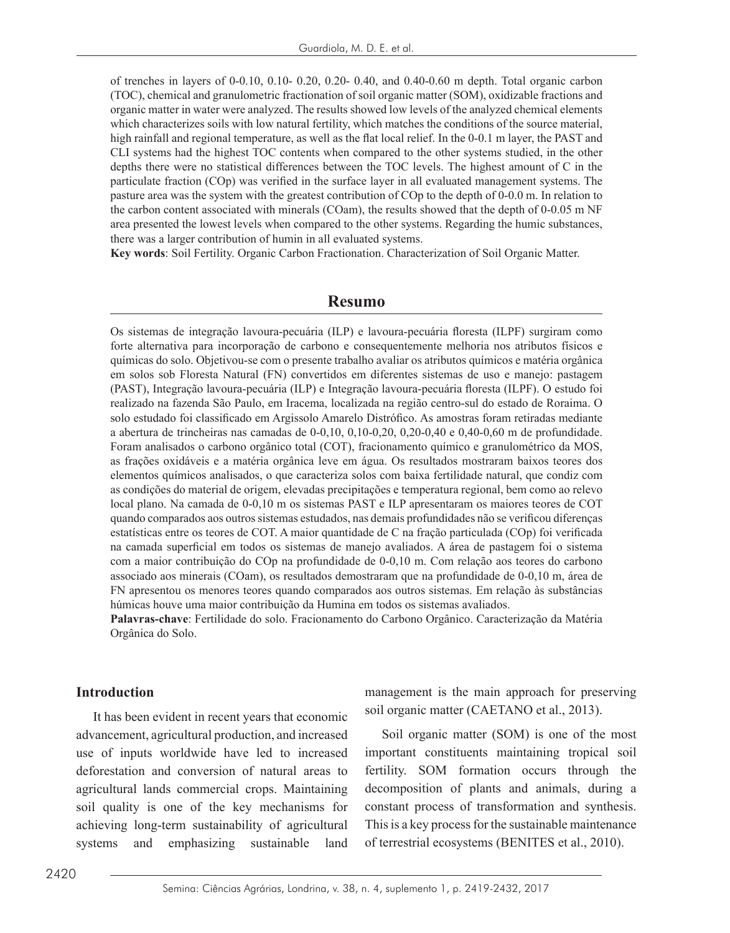of trenches in layers of 0-0.10, 0.10- 0.20, 0.20- 0.40, and 0.40-0.60 m depth. Total organic carbon (TOC), chemical and granulometric fractionation of soil organic matter (SOM), oxidizable fractions and organic matter in water were analyzed. The results showed low levels of the analyzed chemical elements which characterizes soils with low natural fertility, which matches the conditions of the source material. high rainfall and regional temperature, as well as the flat local relief. In the 0-0.1 m layer, the PAST and CLI systems had the highest TOC contents when compared to the other systems studied, in the other depths there were no statistical differences between the TOC levels. The highest amount of C in the particulate fraction (COp) was verified in the surface layer in all evaluated management systems. The pasture area was the system with the greatest contribution of COp to the depth of 0-0.0 m. In relation to the carbon content associated with minerals (COam), the results showed that the depth of 0-0.05 m NF area presented the lowest levels when compared to the other systems. Regarding the humic substances, there was a larger contribution of humin in all evaluated systems.

**Key words**: Soil Fertility. Organic Carbon Fractionation. Characterization of Soil Organic Matter.

### **Resumo**

Os sistemas de integração lavoura-pecuária (ILP) e lavoura-pecuária floresta (ILPF) surgiram como forte alternativa para incorporação de carbono e consequentemente melhoria nos atributos físicos e químicas do solo. Objetivou-se com o presente trabalho avaliar os atributos químicos e matéria orgânica em solos sob Floresta Natural (FN) convertidos em diferentes sistemas de uso e manejo: pastagem (PAST), Integração lavoura-pecuária (ILP) e Integração lavoura-pecuária floresta (ILPF). O estudo foi realizado na fazenda São Paulo, em Iracema, localizada na região centro-sul do estado de Roraima. O solo estudado foi classificado em Argissolo Amarelo Distrófico. As amostras foram retiradas mediante a abertura de trincheiras nas camadas de 0-0,10, 0,10-0,20, 0,20-0,40 e 0,40-0,60 m de profundidade. Foram analisados o carbono orgânico total (COT), fracionamento químico e granulométrico da MOS, as frações oxidáveis e a matéria orgânica leve em água. Os resultados mostraram baixos teores dos elementos químicos analisados, o que caracteriza solos com baixa fertilidade natural, que condiz com as condições do material de origem, elevadas precipitações e temperatura regional, bem como ao relevo local plano. Na camada de 0-0,10 m os sistemas PAST e ILP apresentaram os maiores teores de COT quando comparados aos outros sistemas estudados, nas demais profundidades não se verificou diferenças estatísticas entre os teores de COT. A maior quantidade de C na fração particulada (COp) foi verificada na camada superficial em todos os sistemas de manejo avaliados. A área de pastagem foi o sistema com a maior contribuição do COp na profundidade de 0-0,10 m. Com relação aos teores do carbono associado aos minerais (COam), os resultados demostraram que na profundidade de 0-0,10 m, área de FN apresentou os menores teores quando comparados aos outros sistemas. Em relação às substâncias húmicas houve uma maior contribuição da Humina em todos os sistemas avaliados.

**Palavras-chave**: Fertilidade do solo. Fracionamento do Carbono Orgânico. Caracterização da Matéria Orgânica do Solo.

#### **Introduction**

It has been evident in recent years that economic advancement, agricultural production, and increased use of inputs worldwide have led to increased deforestation and conversion of natural areas to agricultural lands commercial crops. Maintaining soil quality is one of the key mechanisms for achieving long-term sustainability of agricultural systems and emphasizing sustainable land

management is the main approach for preserving soil organic matter (CAETANO et al., 2013).

Soil organic matter (SOM) is one of the most important constituents maintaining tropical soil fertility. SOM formation occurs through the decomposition of plants and animals, during a constant process of transformation and synthesis. This is a key process for the sustainable maintenance of terrestrial ecosystems (BENITES et al., 2010).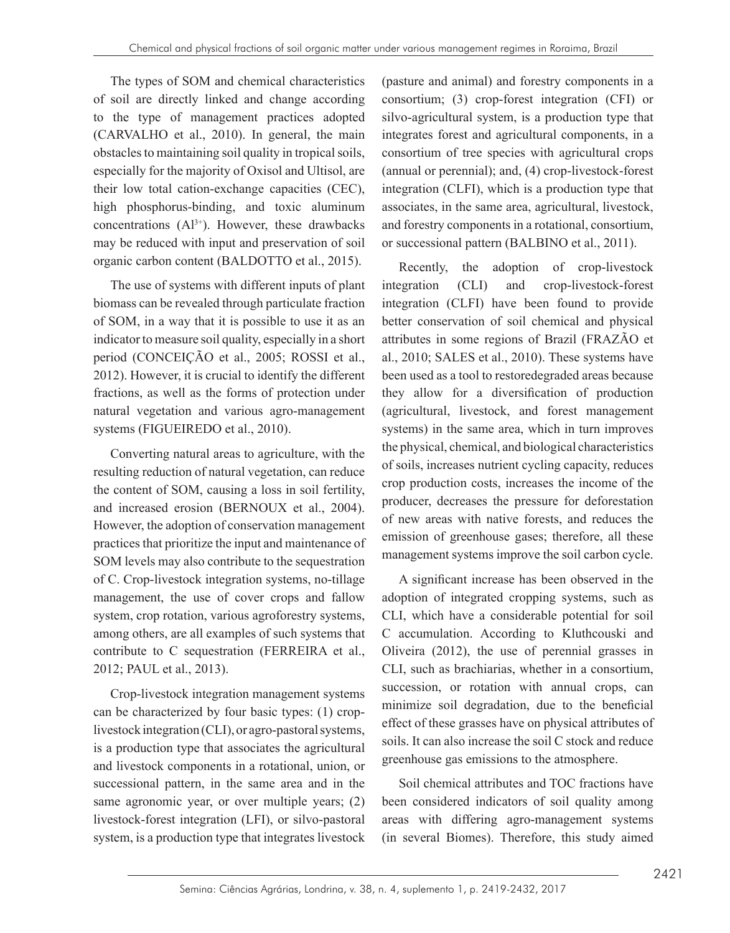The types of SOM and chemical characteristics of soil are directly linked and change according to the type of management practices adopted (CARVALHO et al., 2010). In general, the main obstacles to maintaining soil quality in tropical soils, especially for the majority of Oxisol and Ultisol, are their low total cation-exchange capacities (CEC), high phosphorus-binding, and toxic aluminum concentrations  $(A<sup>3+</sup>)$ . However, these drawbacks may be reduced with input and preservation of soil organic carbon content (BALDOTTO et al., 2015).

The use of systems with different inputs of plant biomass can be revealed through particulate fraction of SOM, in a way that it is possible to use it as an indicator to measure soil quality, especially in a short period (CONCEIÇÃO et al., 2005; ROSSI et al., 2012). However, it is crucial to identify the different fractions, as well as the forms of protection under natural vegetation and various agro-management systems (FIGUEIREDO et al., 2010).

Converting natural areas to agriculture, with the resulting reduction of natural vegetation, can reduce the content of SOM, causing a loss in soil fertility, and increased erosion (BERNOUX et al., 2004). However, the adoption of conservation management practices that prioritize the input and maintenance of SOM levels may also contribute to the sequestration of C. Crop-livestock integration systems, no-tillage management, the use of cover crops and fallow system, crop rotation, various agroforestry systems, among others, are all examples of such systems that contribute to C sequestration (FERREIRA et al., 2012; PAUL et al., 2013).

Crop-livestock integration management systems can be characterized by four basic types: (1) croplivestock integration (CLI), or agro-pastoral systems, is a production type that associates the agricultural and livestock components in a rotational, union, or successional pattern, in the same area and in the same agronomic year, or over multiple years; (2) livestock-forest integration (LFI), or silvo-pastoral system, is a production type that integrates livestock

(pasture and animal) and forestry components in a consortium; (3) crop-forest integration (CFI) or silvo-agricultural system, is a production type that integrates forest and agricultural components, in a consortium of tree species with agricultural crops (annual or perennial); and, (4) crop-livestock-forest integration (CLFI), which is a production type that associates, in the same area, agricultural, livestock, and forestry components in a rotational, consortium, or successional pattern (BALBINO et al., 2011).

Recently, the adoption of crop-livestock integration (CLI) and crop-livestock-forest integration (CLFI) have been found to provide better conservation of soil chemical and physical attributes in some regions of Brazil (FRAZÃO et al., 2010; SALES et al., 2010). These systems have been used as a tool to restoredegraded areas because they allow for a diversification of production (agricultural, livestock, and forest management systems) in the same area, which in turn improves the physical, chemical, and biological characteristics of soils, increases nutrient cycling capacity, reduces crop production costs, increases the income of the producer, decreases the pressure for deforestation of new areas with native forests, and reduces the emission of greenhouse gases; therefore, all these management systems improve the soil carbon cycle.

A significant increase has been observed in the adoption of integrated cropping systems, such as CLI, which have a considerable potential for soil C accumulation. According to Kluthcouski and Oliveira (2012), the use of perennial grasses in CLI, such as brachiarias, whether in a consortium, succession, or rotation with annual crops, can minimize soil degradation, due to the beneficial effect of these grasses have on physical attributes of soils. It can also increase the soil C stock and reduce greenhouse gas emissions to the atmosphere.

Soil chemical attributes and TOC fractions have been considered indicators of soil quality among areas with differing agro-management systems (in several Biomes). Therefore, this study aimed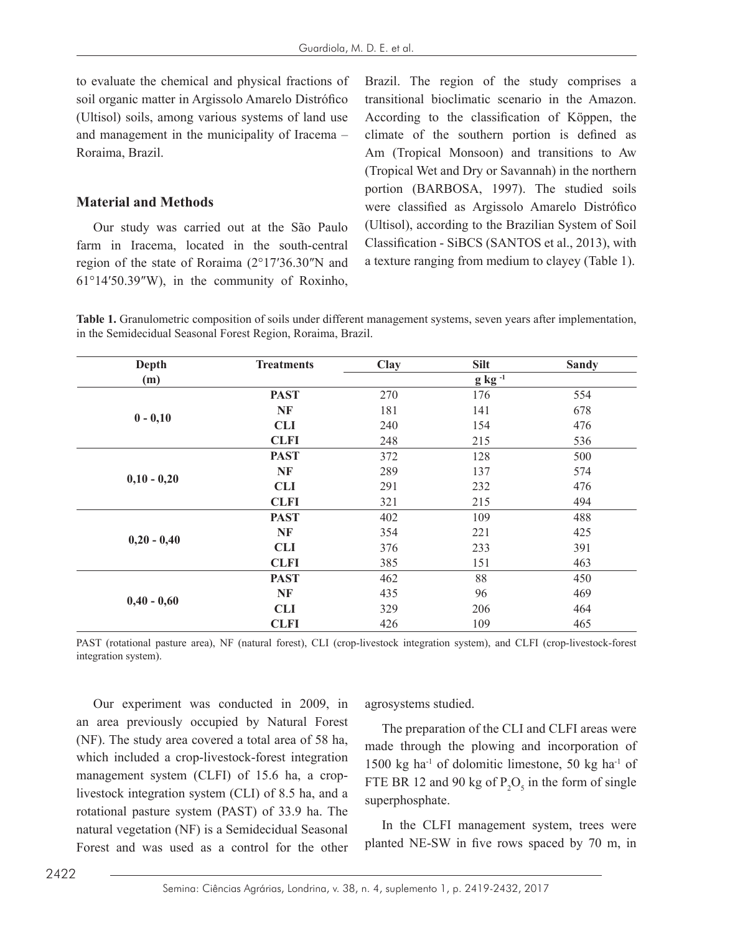to evaluate the chemical and physical fractions of soil organic matter in Argissolo Amarelo Distrófico (Ultisol) soils, among various systems of land use and management in the municipality of Iracema – Roraima, Brazil.

#### **Material and Methods**

Our study was carried out at the São Paulo farm in Iracema, located in the south-central region of the state of Roraima (2°17′36.30″N and 61°14′50.39″W), in the community of Roxinho, Brazil. The region of the study comprises a transitional bioclimatic scenario in the Amazon. According to the classification of Köppen, the climate of the southern portion is defined as Am (Tropical Monsoon) and transitions to Aw (Tropical Wet and Dry or Savannah) in the northern portion (BARBOSA, 1997). The studied soils were classified as Argissolo Amarelo Distrófico (Ultisol), according to the Brazilian System of Soil Classification - SiBCS (SANTOS et al., 2013), with a texture ranging from medium to clayey (Table 1).

**Table 1.** Granulometric composition of soils under different management systems, seven years after implementation, in the Semidecidual Seasonal Forest Region, Roraima, Brazil.

| Depth         | <b>Treatments</b> | Clay           | <b>Silt</b> | <b>Sandy</b> |  |
|---------------|-------------------|----------------|-------------|--------------|--|
| (m)           |                   | $g$ kg $^{-1}$ |             |              |  |
| $0 - 0,10$    | <b>PAST</b>       | 270            | 176         | 554          |  |
|               | NF                | 181            | 141         | 678          |  |
|               | <b>CLI</b>        | 240            | 154         | 476          |  |
|               | <b>CLFI</b>       | 248            | 215         | 536          |  |
|               | <b>PAST</b>       | 372            | 128         | 500          |  |
| $0,10 - 0,20$ | NF                | 289            | 137         | 574          |  |
|               | <b>CLI</b>        | 291            | 232         | 476          |  |
|               | <b>CLFI</b>       | 321            | 215         | 494          |  |
|               | <b>PAST</b>       | 402            | 109         | 488          |  |
| $0,20 - 0,40$ | NF                | 354            | 221         | 425          |  |
|               | <b>CLI</b>        | 376            | 233         | 391          |  |
|               | <b>CLFI</b>       | 385            | 151         | 463          |  |
|               | <b>PAST</b>       | 462            | 88          | 450          |  |
| $0,40 - 0,60$ | <b>NF</b>         | 435            | 96          | 469          |  |
|               | <b>CLI</b>        | 329            | 206         | 464          |  |
|               | <b>CLFI</b>       | 426            | 109         | 465          |  |

PAST (rotational pasture area), NF (natural forest), CLI (crop-livestock integration system), and CLFI (crop-livestock-forest integration system).

Our experiment was conducted in 2009, in an area previously occupied by Natural Forest (NF). The study area covered a total area of 58 ha, which included a crop-livestock-forest integration management system (CLFI) of 15.6 ha, a croplivestock integration system (CLI) of 8.5 ha, and a rotational pasture system (PAST) of 33.9 ha. The natural vegetation (NF) is a Semidecidual Seasonal Forest and was used as a control for the other agrosystems studied.

The preparation of the CLI and CLFI areas were made through the plowing and incorporation of 1500 kg ha<sup>-1</sup> of dolomitic limestone, 50 kg ha<sup>-1</sup> of FTE BR 12 and 90 kg of  $P_2O_5$  in the form of single superphosphate.

In the CLFI management system, trees were planted NE-SW in five rows spaced by 70 m, in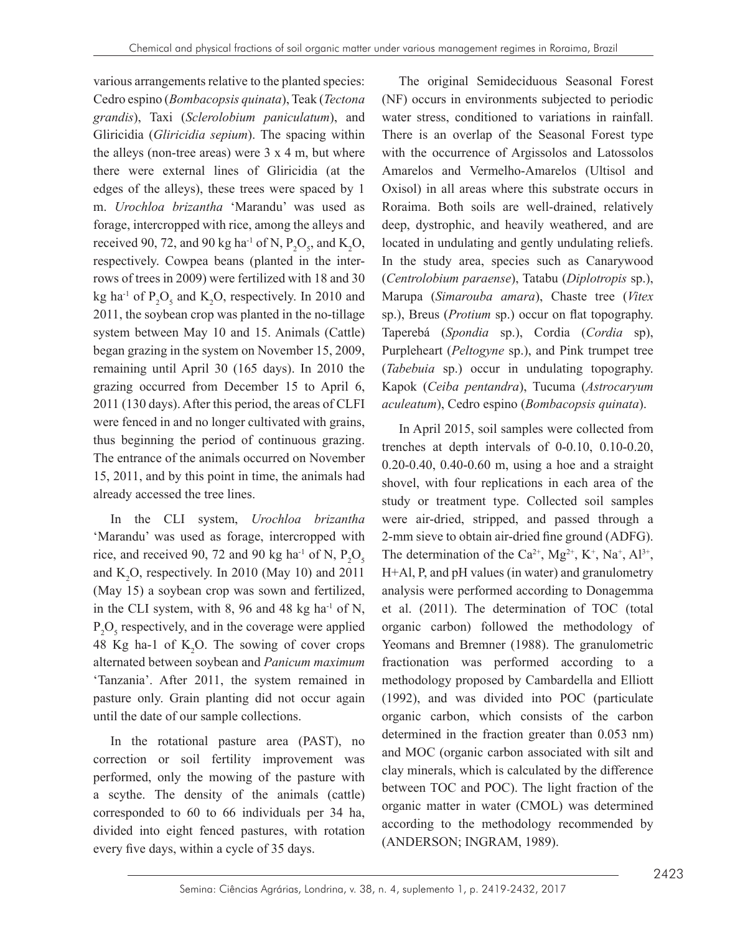various arrangements relative to the planted species: Cedro espino (*Bombacopsis quinata*), Teak (*Tectona grandis*), Taxi (*Sclerolobium paniculatum*), and Gliricidia (*Gliricidia sepium*). The spacing within the alleys (non-tree areas) were  $3 \times 4$  m, but where there were external lines of Gliricidia (at the edges of the alleys), these trees were spaced by 1 m. *Urochloa brizantha* 'Marandu' was used as forage, intercropped with rice, among the alleys and received 90, 72, and 90 kg ha<sup>-1</sup> of N,  $P_2O_5$ , and  $K_2O$ , respectively. Cowpea beans (planted in the interrows of trees in 2009) were fertilized with 18 and 30 kg ha<sup>-1</sup> of  $P_2O_5$  and  $K_2O$ , respectively. In 2010 and 2011, the soybean crop was planted in the no-tillage system between May 10 and 15. Animals (Cattle) began grazing in the system on November 15, 2009, remaining until April 30 (165 days). In 2010 the grazing occurred from December 15 to April 6, 2011 (130 days). After this period, the areas of CLFI were fenced in and no longer cultivated with grains, thus beginning the period of continuous grazing. The entrance of the animals occurred on November 15, 2011, and by this point in time, the animals had already accessed the tree lines.

In the CLI system, *Urochloa brizantha* 'Marandu' was used as forage, intercropped with rice, and received 90, 72 and 90 kg ha<sup>-1</sup> of N,  $P_2O_5$ and  $K_2O$ , respectively. In 2010 (May 10) and 2011 (May 15) a soybean crop was sown and fertilized, in the CLI system, with 8, 96 and 48 kg ha $^{-1}$  of N,  $P_2O_5$  respectively, and in the coverage were applied 48 Kg ha-1 of  $K_2O$ . The sowing of cover crops alternated between soybean and *Panicum maximum* 'Tanzania'. After 2011, the system remained in pasture only. Grain planting did not occur again until the date of our sample collections.

In the rotational pasture area (PAST), no correction or soil fertility improvement was performed, only the mowing of the pasture with a scythe. The density of the animals (cattle) corresponded to 60 to 66 individuals per 34 ha, divided into eight fenced pastures, with rotation every five days, within a cycle of 35 days.

The original Semideciduous Seasonal Forest (NF) occurs in environments subjected to periodic water stress, conditioned to variations in rainfall. There is an overlap of the Seasonal Forest type with the occurrence of Argissolos and Latossolos Amarelos and Vermelho-Amarelos (Ultisol and Oxisol) in all areas where this substrate occurs in Roraima. Both soils are well-drained, relatively deep, dystrophic, and heavily weathered, and are located in undulating and gently undulating reliefs. In the study area, species such as Canarywood (*Centrolobium paraense*), Tatabu (*Diplotropis* sp.), Marupa (*Simarouba amara*), Chaste tree (*Vitex* sp.), Breus (*Protium* sp.) occur on flat topography. Taperebá (*Spondia* sp.), Cordia (*Cordia* sp), Purpleheart (*Peltogyne* sp.), and Pink trumpet tree (*Tabebuia* sp.) occur in undulating topography. Kapok (*Ceiba pentandra*), Tucuma (*Astrocaryum aculeatum*), Cedro espino (*Bombacopsis quinata*).

In April 2015, soil samples were collected from trenches at depth intervals of 0-0.10, 0.10-0.20, 0.20-0.40, 0.40-0.60 m, using a hoe and a straight shovel, with four replications in each area of the study or treatment type. Collected soil samples were air-dried, stripped, and passed through a 2-mm sieve to obtain air-dried fine ground (ADFG). The determination of the Ca<sup>2+</sup>, Mg<sup>2+</sup>, K<sup>+</sup>, Na<sup>+</sup>, Al<sup>3+</sup>, H+Al, P, and pH values (in water) and granulometry analysis were performed according to Donagemma et al. (2011). The determination of TOC (total organic carbon) followed the methodology of Yeomans and Bremner (1988). The granulometric fractionation was performed according to a methodology proposed by Cambardella and Elliott (1992), and was divided into POC (particulate organic carbon, which consists of the carbon determined in the fraction greater than 0.053 nm) and MOC (organic carbon associated with silt and clay minerals, which is calculated by the difference between TOC and POC). The light fraction of the organic matter in water (CMOL) was determined according to the methodology recommended by (ANDERSON; INGRAM, 1989).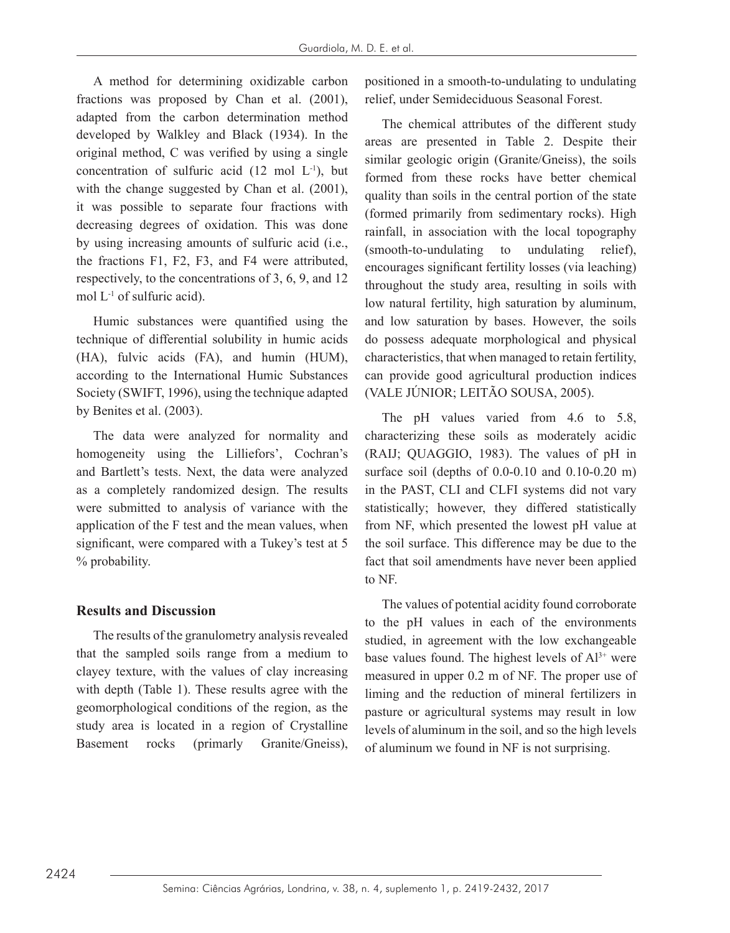A method for determining oxidizable carbon fractions was proposed by Chan et al. (2001), adapted from the carbon determination method developed by Walkley and Black (1934). In the original method, C was verified by using a single concentration of sulfuric acid (12 mol L-1), but with the change suggested by Chan et al. (2001), it was possible to separate four fractions with decreasing degrees of oxidation. This was done by using increasing amounts of sulfuric acid (i.e., the fractions F1, F2, F3, and F4 were attributed, respectively, to the concentrations of 3, 6, 9, and 12 mol  $L^{-1}$  of sulfuric acid).

Humic substances were quantified using the technique of differential solubility in humic acids (HA), fulvic acids (FA), and humin (HUM), according to the International Humic Substances Society (SWIFT, 1996), using the technique adapted by Benites et al. (2003).

The data were analyzed for normality and homogeneity using the Lilliefors', Cochran's and Bartlett's tests. Next, the data were analyzed as a completely randomized design. The results were submitted to analysis of variance with the application of the F test and the mean values, when significant, were compared with a Tukey's test at 5 % probability.

### **Results and Discussion**

The results of the granulometry analysis revealed that the sampled soils range from a medium to clayey texture, with the values of clay increasing with depth (Table 1). These results agree with the geomorphological conditions of the region, as the study area is located in a region of Crystalline Basement rocks (primarly Granite/Gneiss), positioned in a smooth-to-undulating to undulating relief, under Semideciduous Seasonal Forest.

The chemical attributes of the different study areas are presented in Table 2. Despite their similar geologic origin (Granite/Gneiss), the soils formed from these rocks have better chemical quality than soils in the central portion of the state (formed primarily from sedimentary rocks). High rainfall, in association with the local topography (smooth-to-undulating to undulating relief), encourages significant fertility losses (via leaching) throughout the study area, resulting in soils with low natural fertility, high saturation by aluminum, and low saturation by bases. However, the soils do possess adequate morphological and physical characteristics, that when managed to retain fertility, can provide good agricultural production indices (VALE JÚNIOR; LEITÃO SOUSA, 2005).

The pH values varied from 4.6 to 5.8, characterizing these soils as moderately acidic (RAIJ; QUAGGIO, 1983). The values of pH in surface soil (depths of 0.0-0.10 and 0.10-0.20 m) in the PAST, CLI and CLFI systems did not vary statistically; however, they differed statistically from NF, which presented the lowest pH value at the soil surface. This difference may be due to the fact that soil amendments have never been applied to NF.

The values of potential acidity found corroborate to the pH values in each of the environments studied, in agreement with the low exchangeable base values found. The highest levels of  $Al^{3+}$  were measured in upper 0.2 m of NF. The proper use of liming and the reduction of mineral fertilizers in pasture or agricultural systems may result in low levels of aluminum in the soil, and so the high levels of aluminum we found in NF is not surprising.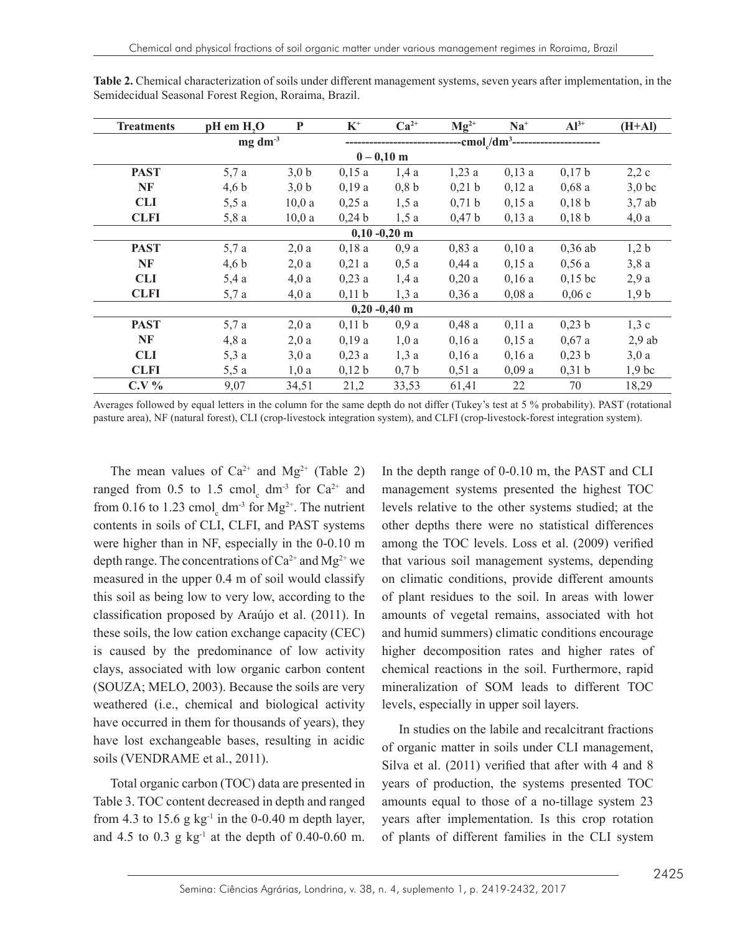| <b>Treatments</b> | pH em H <sub>2</sub> O | P     | $K^+$    | $Ca2+$  | $Mg^{2+}$                         | $Na+$ | $Al^{3+}$           | $(H+A)$  |
|-------------------|------------------------|-------|----------|---------|-----------------------------------|-------|---------------------|----------|
|                   | $mg \, dm^{-3}$        |       |          |         | cmol <sub>/dm<sup>3</sup>--</sub> |       |                     |          |
|                   | $0 - 0,10$ m           |       |          |         |                                   |       |                     |          |
| <b>PAST</b>       | 5,7 a                  | 3,0 b | 0,15a    | 1,4a    | 1,23a                             | 0,13a | 0,17 b              | 2,2c     |
| NF                | 4,6 b                  | 3,0 b | 0,19a    | 0,8 b   | 0,21 b                            | 0,12a | 0,68a               | $3,0$ bc |
| <b>CLI</b>        | 5,5a                   | 10,0a | 0,25a    | 1,5a    | 0,71 b                            | 0,15a | $0,18$ <sub>b</sub> | $3,7$ ab |
| <b>CLFI</b>       | 5,8a                   | 10,0a | 0,24 b   | 1,5a    | 0,47 b                            | 0,13a | 0,18 b              | 4,0a     |
|                   | $0,10 - 0,20$ m        |       |          |         |                                   |       |                     |          |
| <b>PAST</b>       | 5,7a                   | 2,0a  | 0,18a    | 0.9a    | 0,83a                             | 0,10a | $0,36$ ab           | 1,2 b    |
| NF                | 4,6 b                  | 2,0a  | $0,21$ a | $0,5$ a | 0,44a                             | 0,15a | 0,56a               | 3,8a     |
| <b>CLI</b>        | 5,4a                   | 4,0a  | $0,23$ a | 1,4a    | 0,20a                             | 0.16a | $0,15$ bc           | 2,9a     |
| <b>CLFI</b>       | 5,7a                   | 4,0a  | 0,11 b   | 1,3a    | 0,36a                             | 0,08a | 0,06c               | 1,9 b    |
|                   | $0,20 -0,40$ m         |       |          |         |                                   |       |                     |          |
| <b>PAST</b>       | 5,7 a                  | 2,0a  | 0,11 b   | 0.9a    | 0,48a                             | 0,11a | 0,23 b              | 1,3c     |
| NF                | 4,8a                   | 2,0a  | 0,19a    | 1,0a    | 0,16a                             | 0,15a | 0,67a               | $2,9$ ab |
| <b>CLI</b>        | 5,3a                   | 3,0a  | 0,23a    | 1,3a    | 0.16a                             | 0.16a | 0,23 b              | 3,0a     |
| <b>CLFI</b>       | 5,5a                   | 1,0a  | 0,12 b   | 0,7b    | 0,51a                             | 0,09a | 0,31 b              | $1,9$ bc |
| $C.V.$ %          | 9,07                   | 34,51 | 21,2     | 33,53   | 61,41                             | 22    | 70                  | 18,29    |

**Table 2.** Chemical characterization of soils under different management systems, seven years after implementation, in the Semidecidual Seasonal Forest Region, Roraima, Brazil.

Averages followed by equal letters in the column for the same depth do not differ (Tukey's test at 5 % probability). PAST (rotational pasture area), NF (natural forest), CLI (crop-livestock integration system), and CLFI (crop-livestock-forest integration system).

The mean values of  $Ca^{2+}$  and  $Mg^{2+}$  (Table 2) ranged from 0.5 to 1.5 cmol<sub>c</sub> dm<sup>-3</sup> for  $Ca^{2+}$  and from 0.16 to 1.23 cmol<sub>c</sub> dm<sup>-3</sup> for  $Mg^{2+}$ . The nutrient contents in soils of CLI, CLFI, and PAST systems were higher than in NF, especially in the 0-0.10 m depth range. The concentrations of  $Ca^{2+}$  and  $Mg^{2+}$  we measured in the upper 0.4 m of soil would classify this soil as being low to very low, according to the classification proposed by Araújo et al. (2011). In these soils, the low cation exchange capacity (CEC) is caused by the predominance of low activity clays, associated with low organic carbon content (SOUZA; MELO, 2003). Because the soils are very weathered (i.e., chemical and biological activity have occurred in them for thousands of years), they have lost exchangeable bases, resulting in acidic soils (VENDRAME et al., 2011).

Total organic carbon (TOC) data are presented in Table 3. TOC content decreased in depth and ranged from 4.3 to 15.6 g  $kg^{-1}$  in the 0-0.40 m depth layer, and 4.5 to 0.3 g  $kg^{-1}$  at the depth of 0.40-0.60 m. In the depth range of 0-0.10 m, the PAST and CLI management systems presented the highest TOC levels relative to the other systems studied; at the other depths there were no statistical differences among the TOC levels. Loss et al. (2009) verified that various soil management systems, depending on climatic conditions, provide different amounts of plant residues to the soil. In areas with lower amounts of vegetal remains, associated with hot and humid summers) climatic conditions encourage higher decomposition rates and higher rates of chemical reactions in the soil. Furthermore, rapid mineralization of SOM leads to different TOC levels, especially in upper soil layers.

In studies on the labile and recalcitrant fractions of organic matter in soils under CLI management, Silva et al. (2011) verified that after with 4 and 8 years of production, the systems presented TOC amounts equal to those of a no-tillage system 23 years after implementation. Is this crop rotation of plants of different families in the CLI system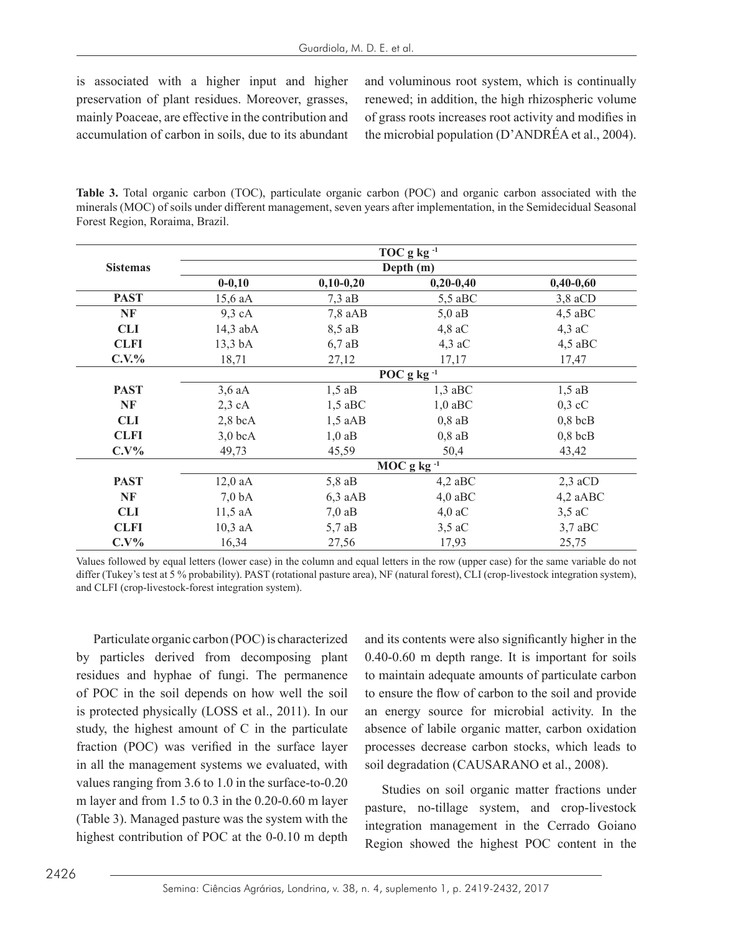is associated with a higher input and higher preservation of plant residues. Moreover, grasses, mainly Poaceae, are effective in the contribution and accumulation of carbon in soils, due to its abundant

and voluminous root system, which is continually renewed; in addition, the high rhizospheric volume of grass roots increases root activity and modifies in the microbial population (D'ANDRÉA et al., 2004).

**Table 3.** Total organic carbon (TOC), particulate organic carbon (POC) and organic carbon associated with the minerals (MOC) of soils under different management, seven years after implementation, in the Semidecidual Seasonal Forest Region, Roraima, Brazil.

|                 |                    |             | TOC g $kg^{-1}$ |             |  |  |  |
|-----------------|--------------------|-------------|-----------------|-------------|--|--|--|
| <b>Sistemas</b> | Depth (m)          |             |                 |             |  |  |  |
|                 | $0 - 0, 10$        | $0,10-0,20$ | $0,20-0,40$     | $0,40-0,60$ |  |  |  |
| <b>PAST</b>     | 15,6 aA            | $7,3$ aB    | $5,5$ aBC       | $3,8$ aCD   |  |  |  |
| NF              | $9,3$ cA           | $7,8$ aAB   | $5,0$ aB        | $4,5$ aBC   |  |  |  |
| <b>CLI</b>      | $14,3$ abA         | 8,5 aB      | $4,8$ aC        | $4,3$ aC    |  |  |  |
| <b>CLFI</b>     | $13,3 \text{ bA}$  | $6,7$ aB    | $4,3$ aC        | $4,5$ aBC   |  |  |  |
| $C.V.$ %        | 18,71              | 27,12       | 17,17           | 17,47       |  |  |  |
|                 | POC g kg $^{-1}$   |             |                 |             |  |  |  |
| <b>PAST</b>     | $3,6$ aA           | $1,5$ aB    | $1,3$ aBC       | $1,5$ aB    |  |  |  |
| NF              | $2,3$ cA           | $1,5$ aBC   | $1,0$ aBC       | $0,3$ cC    |  |  |  |
| <b>CLI</b>      | $2,8$ bcA          | $1,5$ aAB   | $0,8$ aB        | $0,8$ bcB   |  |  |  |
| <b>CLFI</b>     | $3,0$ bcA          | $1,0$ aB    | $0,8$ aB        | $0,8$ bcB   |  |  |  |
| $C.V\%$         | 49,73              | 45,59       | 50,4            | 43,42       |  |  |  |
|                 | $MOC$ g kg $^{-1}$ |             |                 |             |  |  |  |
| <b>PAST</b>     | $12,0$ aA          | $5,8$ aB    | $4,2$ aBC       | $2,3$ aCD   |  |  |  |
| NF              | 7.0 <sub>bA</sub>  | $6,3$ aAB   | $4,0$ aBC       | 4,2 aABC    |  |  |  |
| <b>CLI</b>      | $11,5$ aA          | $7,0$ aB    | $4,0$ aC        | $3,5$ aC    |  |  |  |
| <b>CLFI</b>     | $10,3$ aA          | $5,7$ aB    | $3,5$ aC        | $3,7$ aBC   |  |  |  |
| $C.V\%$         | 16,34              | 27,56       | 17,93           | 25,75       |  |  |  |

Values followed by equal letters (lower case) in the column and equal letters in the row (upper case) for the same variable do not differ (Tukey's test at 5 % probability). PAST (rotational pasture area), NF (natural forest), CLI (crop-livestock integration system), and CLFI (crop-livestock-forest integration system).

Particulate organic carbon (POC) is characterized by particles derived from decomposing plant residues and hyphae of fungi. The permanence of POC in the soil depends on how well the soil is protected physically (LOSS et al., 2011). In our study, the highest amount of C in the particulate fraction (POC) was verified in the surface layer in all the management systems we evaluated, with values ranging from 3.6 to 1.0 in the surface-to-0.20 m layer and from 1.5 to 0.3 in the 0.20-0.60 m layer (Table 3). Managed pasture was the system with the highest contribution of POC at the 0-0.10 m depth and its contents were also significantly higher in the 0.40-0.60 m depth range. It is important for soils to maintain adequate amounts of particulate carbon to ensure the flow of carbon to the soil and provide an energy source for microbial activity. In the absence of labile organic matter, carbon oxidation processes decrease carbon stocks, which leads to soil degradation (CAUSARANO et al., 2008).

Studies on soil organic matter fractions under pasture, no-tillage system, and crop-livestock integration management in the Cerrado Goiano Region showed the highest POC content in the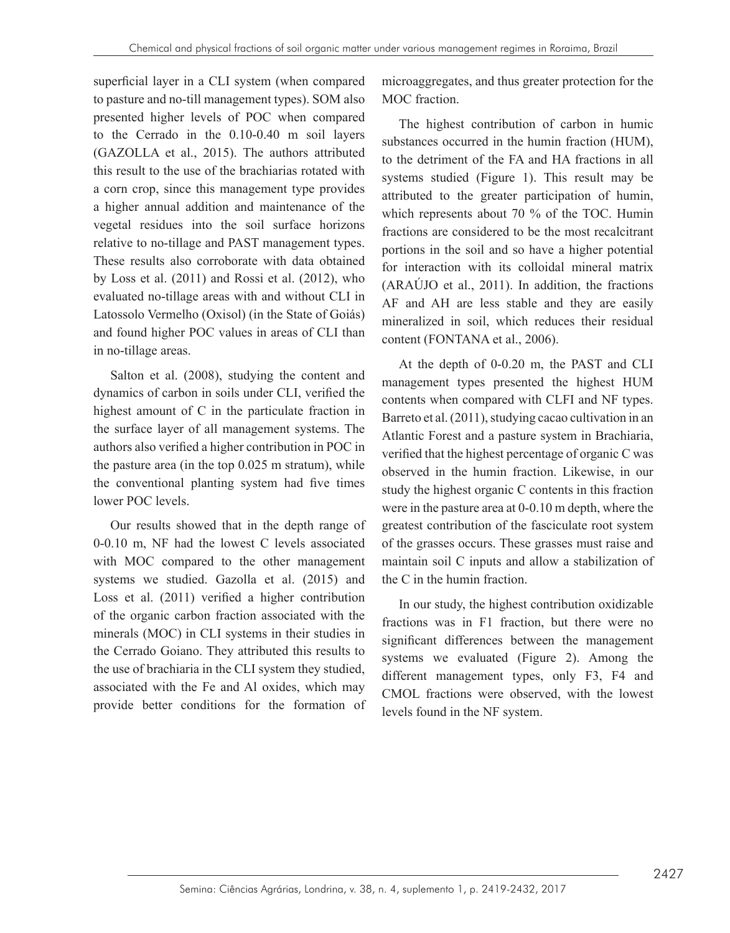superficial layer in a CLI system (when compared to pasture and no-till management types). SOM also presented higher levels of POC when compared to the Cerrado in the 0.10-0.40 m soil layers (GAZOLLA et al., 2015). The authors attributed this result to the use of the brachiarias rotated with a corn crop, since this management type provides a higher annual addition and maintenance of the vegetal residues into the soil surface horizons relative to no-tillage and PAST management types. These results also corroborate with data obtained by Loss et al. (2011) and Rossi et al. (2012), who evaluated no-tillage areas with and without CLI in Latossolo Vermelho (Oxisol) (in the State of Goiás) and found higher POC values in areas of CLI than in no-tillage areas.

Salton et al. (2008), studying the content and dynamics of carbon in soils under CLI, verified the highest amount of C in the particulate fraction in the surface layer of all management systems. The authors also verified a higher contribution in POC in the pasture area (in the top 0.025 m stratum), while the conventional planting system had five times lower POC levels.

Our results showed that in the depth range of 0-0.10 m, NF had the lowest C levels associated with MOC compared to the other management systems we studied. Gazolla et al. (2015) and Loss et al. (2011) verified a higher contribution of the organic carbon fraction associated with the minerals (MOC) in CLI systems in their studies in the Cerrado Goiano. They attributed this results to the use of brachiaria in the CLI system they studied, associated with the Fe and Al oxides, which may provide better conditions for the formation of microaggregates, and thus greater protection for the MOC fraction.

The highest contribution of carbon in humic substances occurred in the humin fraction (HUM), to the detriment of the FA and HA fractions in all systems studied (Figure 1). This result may be attributed to the greater participation of humin, which represents about 70 % of the TOC. Humin fractions are considered to be the most recalcitrant portions in the soil and so have a higher potential for interaction with its colloidal mineral matrix (ARAÚJO et al., 2011). In addition, the fractions AF and AH are less stable and they are easily mineralized in soil, which reduces their residual content (FONTANA et al., 2006).

At the depth of 0-0.20 m, the PAST and CLI management types presented the highest HUM contents when compared with CLFI and NF types. Barreto et al. (2011), studying cacao cultivation in an Atlantic Forest and a pasture system in Brachiaria, verified that the highest percentage of organic C was observed in the humin fraction. Likewise, in our study the highest organic C contents in this fraction were in the pasture area at 0-0.10 m depth, where the greatest contribution of the fasciculate root system of the grasses occurs. These grasses must raise and maintain soil C inputs and allow a stabilization of the C in the humin fraction.

In our study, the highest contribution oxidizable fractions was in F1 fraction, but there were no significant differences between the management systems we evaluated (Figure 2). Among the different management types, only F3, F4 and CMOL fractions were observed, with the lowest levels found in the NF system.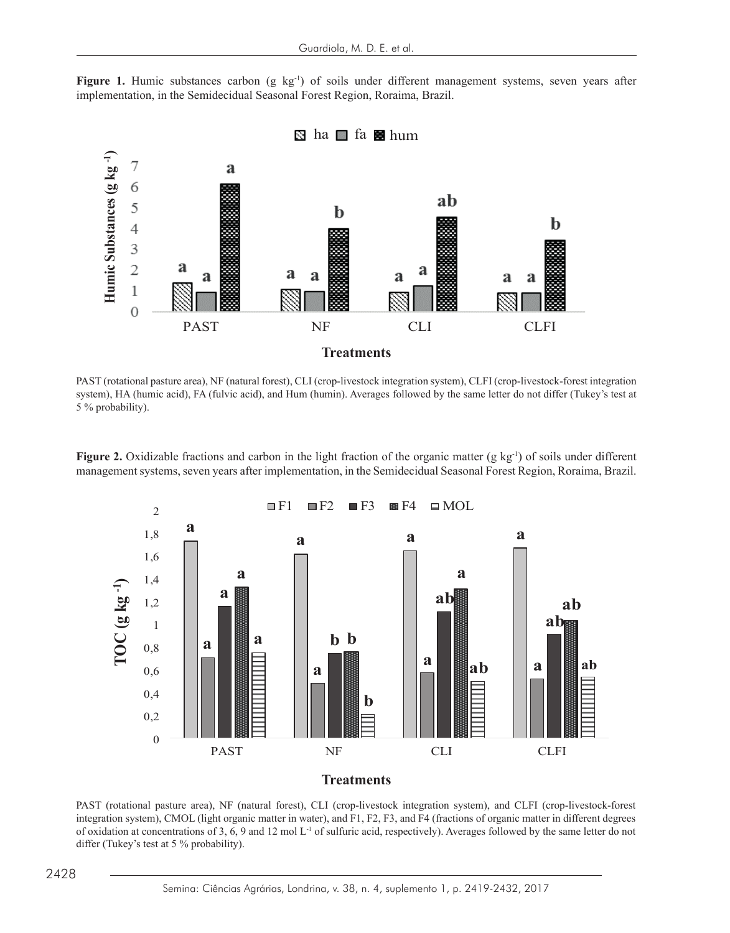**Figure 1.** Humic substances carbon (g kg-1

**Figure 1.** Humic substances carbon (g kg<sup>-1</sup>) of soils under different management systems, seven years after implementation, in the Semidecidual Seasonal Forest Region, Roraima, Brazil. implementation, in the Semidecidual Seasonal Forest Region, Roraima, Brazil. **Figure 1.** Humic substances carbon (g kg<sup>-1</sup>) of soils under different management systems, seven years after



PAST (rotational pasture area), NF (natural forest), CLI (crop-livestock integration system), CLFI (crop-livestock-forest integration exist (foldfolial pasture area), NP (flatural forest), CLI (cfop-fivestock megration system), CLPI (cfop-fivestock-forest megration<br>system), HA (humic acid), FA (fulvic acid), and Hum (humin). Averages followed by the same 5 % probability).  $\frac{1}{2}$ % probability).  $\frac{1}{2}$   $\frac{1}{2}$  (Tuttle at  $\frac{1}{2}$ ). The state  $\frac{1}{2}$ 

Figure 2. Oxidizable fractions and carbon in the light fraction of the organic matter  $(g \ kg_1)$  of soils under different management systems, seven years after implementation, in the Semidecidual Seasonal Forest Region, Roraima, Brazil.



PAST (rotational pasture area), NF (natural forest), CLI (crop-livestock integration system), and CLFI (crop-livestock-forest integration system), CMOL (light organic matter in water), and F1, F2, F3, and F4 (fractions of organic matter in different degrees of oxidation at concentrations of 3, 6, 9 and 12 mol L<sup>-1</sup> of sulfuric acid, respectively). Averages followed by the same letter do not differ (Tukey's test at 5 % probability).

The management system system systems that add organic matter to the soil (via input of decomposition of  $\alpha$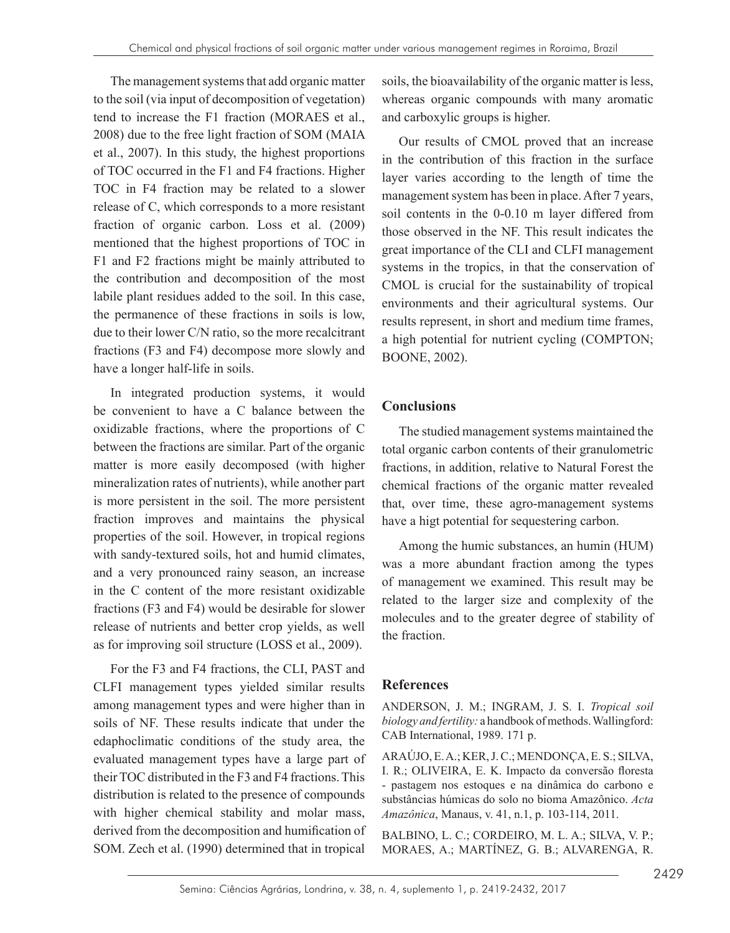The management systems that add organic matter to the soil (via input of decomposition of vegetation) tend to increase the F1 fraction (MORAES et al., 2008) due to the free light fraction of SOM (MAIA et al., 2007). In this study, the highest proportions of TOC occurred in the F1 and F4 fractions. Higher TOC in F4 fraction may be related to a slower release of C, which corresponds to a more resistant fraction of organic carbon. Loss et al. (2009) mentioned that the highest proportions of TOC in F1 and F2 fractions might be mainly attributed to the contribution and decomposition of the most labile plant residues added to the soil. In this case, the permanence of these fractions in soils is low, due to their lower C/N ratio, so the more recalcitrant fractions (F3 and F4) decompose more slowly and have a longer half-life in soils.

In integrated production systems, it would be convenient to have a C balance between the oxidizable fractions, where the proportions of C between the fractions are similar. Part of the organic matter is more easily decomposed (with higher mineralization rates of nutrients), while another part is more persistent in the soil. The more persistent fraction improves and maintains the physical properties of the soil. However, in tropical regions with sandy-textured soils, hot and humid climates, and a very pronounced rainy season, an increase in the C content of the more resistant oxidizable fractions (F3 and F4) would be desirable for slower release of nutrients and better crop yields, as well as for improving soil structure (LOSS et al., 2009).

For the F3 and F4 fractions, the CLI, PAST and CLFI management types yielded similar results among management types and were higher than in soils of NF. These results indicate that under the edaphoclimatic conditions of the study area, the evaluated management types have a large part of their TOC distributed in the F3 and F4 fractions. This distribution is related to the presence of compounds with higher chemical stability and molar mass, derived from the decomposition and humification of SOM. Zech et al. (1990) determined that in tropical

soils, the bioavailability of the organic matter is less, whereas organic compounds with many aromatic and carboxylic groups is higher.

Our results of CMOL proved that an increase in the contribution of this fraction in the surface layer varies according to the length of time the management system has been in place. After 7 years, soil contents in the 0-0.10 m layer differed from those observed in the NF. This result indicates the great importance of the CLI and CLFI management systems in the tropics, in that the conservation of CMOL is crucial for the sustainability of tropical environments and their agricultural systems. Our results represent, in short and medium time frames, a high potential for nutrient cycling (COMPTON; BOONE, 2002).

## **Conclusions**

The studied management systems maintained the total organic carbon contents of their granulometric fractions, in addition, relative to Natural Forest the chemical fractions of the organic matter revealed that, over time, these agro-management systems have a higt potential for sequestering carbon.

Among the humic substances, an humin (HUM) was a more abundant fraction among the types of management we examined. This result may be related to the larger size and complexity of the molecules and to the greater degree of stability of the fraction.

## **References**

ANDERSON, J. M.; INGRAM, J. S. I. *Tropical soil biology and fertility:* a handbook of methods. Wallingford: CAB International, 1989. 171 p.

ARAÚJO, E. A.; KER, J. C.; MENDONÇA, E. S.; SILVA, I. R.; OLIVEIRA, E. K. Impacto da conversão floresta - pastagem nos estoques e na dinâmica do carbono e substâncias húmicas do solo no bioma Amazônico. *Acta Amazônica*, Manaus, v. 41, n.1, p. 103-114, 2011.

BALBINO, L. C.; CORDEIRO, M. L. A.; SILVA, V. P.; MORAES, A.; MARTÍNEZ, G. B.; ALVARENGA, R.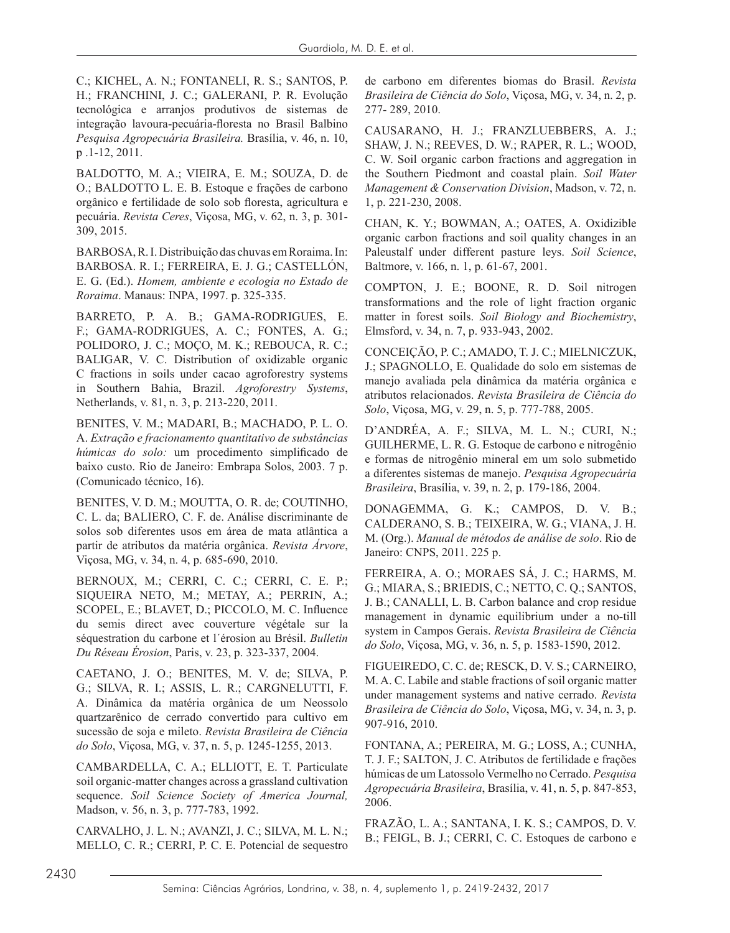C.; KICHEL, A. N.; FONTANELI, R. S.; SANTOS, P. H.; FRANCHINI, J. C.; GALERANI, P. R. Evolução tecnológica e arranjos produtivos de sistemas de integração lavoura‑pecuária‑floresta no Brasil Balbino *Pesquisa Agropecuária Brasileira.* Brasília, v. 46, n. 10, p .1-12, 2011.

BALDOTTO, M. A.; VIEIRA, E. M.; SOUZA, D. de O.; BALDOTTO L. E. B. Estoque e frações de carbono orgânico e fertilidade de solo sob floresta, agricultura e pecuária. *Revista Ceres*, Viçosa, MG, v. 62, n. 3, p. 301- 309, 2015.

BARBOSA, R. I. Distribuição das chuvas em Roraima. In: BARBOSA. R. I.; FERREIRA, E. J. G.; CASTELLÓN, E. G. (Ed.). *Homem, ambiente e ecologia no Estado de Roraima*. Manaus: INPA, 1997. p. 325-335.

BARRETO, P. A. B.; GAMA-RODRIGUES, E. F.; GAMA-RODRIGUES, A. C.; FONTES, A. G.; POLIDORO, J. C.; MOÇO, M. K.; REBOUCA, R. C.; BALIGAR, V. C. Distribution of oxidizable organic C fractions in soils under cacao agroforestry systems in Southern Bahia, Brazil. *Agroforestry Systems*, Netherlands, v. 81, n. 3, p. 213-220, 2011.

BENITES, V. M.; MADARI, B.; MACHADO, P. L. O. A. *Extração e fracionamento quantitativo de substâncias húmicas do solo:* um procedimento simplificado de baixo custo. Rio de Janeiro: Embrapa Solos, 2003. 7 p. (Comunicado técnico, 16).

BENITES, V. D. M.; MOUTTA, O. R. de; COUTINHO, C. L. da; BALIERO, C. F. de. Análise discriminante de solos sob diferentes usos em área de mata atlântica a partir de atributos da matéria orgânica. *Revista Árvore*, Viçosa, MG, v. 34, n. 4, p. 685-690, 2010.

BERNOUX, M.; CERRI, C. C.; CERRI, C. E. P.; SIQUEIRA NETO, M.; METAY, A.; PERRIN, A.; SCOPEL, E.; BLAVET, D.; PICCOLO, M. C. Influence du semis direct avec couverture végétale sur la séquestration du carbone et l´érosion au Brésil. *Bulletin Du Réseau Érosion*, Paris, v. 23, p. 323-337, 2004.

CAETANO, J. O.; BENITES, M. V. de; SILVA, P. G.; SILVA, R. I.; ASSIS, L. R.; CARGNELUTTI, F. A. Dinâmica da matéria orgânica de um Neossolo quartzarênico de cerrado convertido para cultivo em sucessão de soja e mileto. *Revista Brasileira de Ciência do Solo*, Viçosa, MG, v. 37, n. 5, p. 1245-1255, 2013.

CAMBARDELLA, C. A.; ELLIOTT, E. T. Particulate soil organic-matter changes across a grassland cultivation sequence. *Soil Science Society of America Journal,* Madson, v. 56, n. 3, p. 777-783, 1992.

CARVALHO, J. L. N.; AVANZI, J. C.; SILVA, M. L. N.; MELLO, C. R.; CERRI, P. C. E. Potencial de sequestro de carbono em diferentes biomas do Brasil. *Revista Brasileira de Ciência do Solo*, Viçosa, MG, v. 34, n. 2, p. 277- 289, 2010.

CAUSARANO, H. J.; FRANZLUEBBERS, A. J.; SHAW, J. N.; REEVES, D. W.; RAPER, R. L.; WOOD, C. W. Soil organic carbon fractions and aggregation in the Southern Piedmont and coastal plain. *Soil Water Management & Conservation Division*, Madson, v. 72, n. 1, p. 221-230, 2008.

CHAN, K. Y.; BOWMAN, A.; OATES, A. Oxidizible organic carbon fractions and soil quality changes in an Paleustalf under different pasture leys. *Soil Science*, Baltmore, v. 166, n. 1, p. 61-67, 2001.

COMPTON, J. E.; BOONE, R. D. Soil nitrogen transformations and the role of light fraction organic matter in forest soils. *Soil Biology and Biochemistry*, Elmsford, v. 34, n. 7, p. 933-943, 2002.

CONCEIÇÃO, P. C.; AMADO, T. J. C.; MIELNICZUK, J.; SPAGNOLLO, E. Qualidade do solo em sistemas de manejo avaliada pela dinâmica da matéria orgânica e atributos relacionados. *Revista Brasileira de Ciência do Solo*, Viçosa, MG, v. 29, n. 5, p. 777‑788, 2005.

D'ANDRÉA, A. F.; SILVA, M. L. N.; CURI, N.; GUILHERME, L. R. G. Estoque de carbono e nitrogênio e formas de nitrogênio mineral em um solo submetido a diferentes sistemas de manejo. *Pesquisa Agropecuária Brasileira*, Brasília, v. 39, n. 2, p. 179-186, 2004.

DONAGEMMA, G. K.; CAMPOS, D. V. B.; CALDERANO, S. B.; TEIXEIRA, W. G.; VIANA, J. H. M. (Org.). *Manual de métodos de análise de solo*. Rio de Janeiro: CNPS, 2011. 225 p.

FERREIRA, A. O.; MORAES SÁ, J. C.; HARMS, M. G.; MIARA, S.; BRIEDIS, C.; NETTO, C. Q.; SANTOS, J. B.; CANALLI, L. B. Carbon balance and crop residue management in dynamic equilibrium under a no-till system in Campos Gerais. *Revista Brasileira de Ciência do Solo*, Viçosa, MG, v. 36, n. 5, p. 1583-1590, 2012.

FIGUEIREDO, C. C. de; RESCK, D. V. S.; CARNEIRO, M. A. C. Labile and stable fractions of soil organic matter under management systems and native cerrado. *Revista Brasileira de Ciência do Solo*, Viçosa, MG, v. 34, n. 3, p. 907-916, 2010.

FONTANA, A.; PEREIRA, M. G.; LOSS, A.; CUNHA, T. J. F.; SALTON, J. C. Atributos de fertilidade e frações húmicas de um Latossolo Vermelho no Cerrado. *Pesquisa Agropecuária Brasileira*, Brasília, v. 41, n. 5, p. 847-853, 2006.

FRAZÃO, L. A.; SANTANA, I. K. S.; CAMPOS, D. V. B.; FEIGL, B. J.; CERRI, C. C. Estoques de carbono e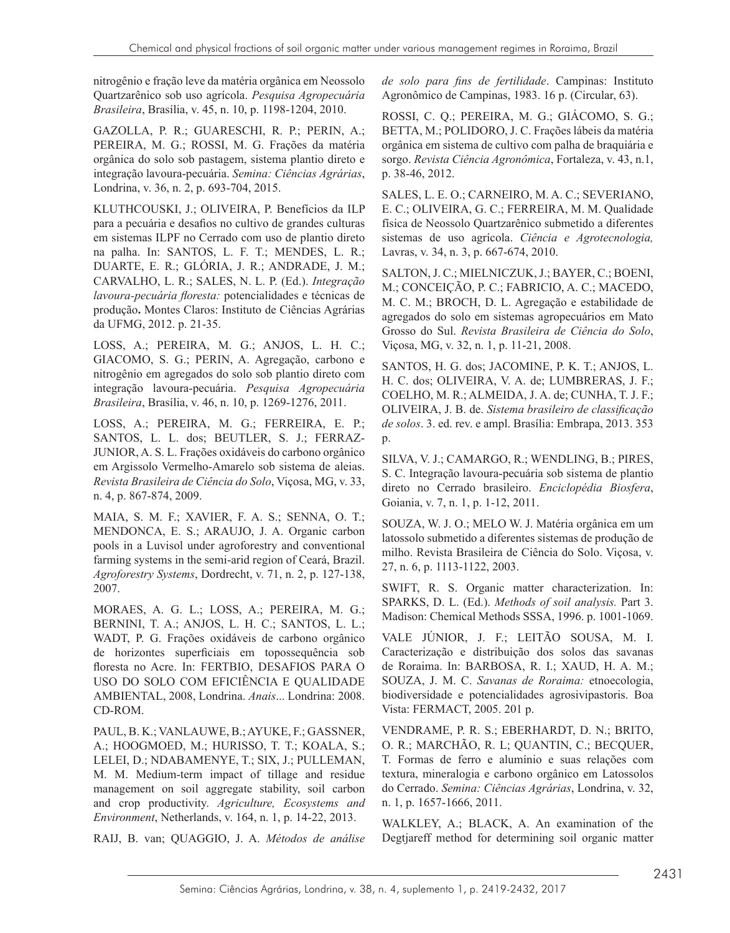nitrogênio e fração leve da matéria orgânica em Neossolo Quartzarênico sob uso agrícola. *Pesquisa Agropecuária Brasileira*, Brasília, v. 45, n. 10, p. 1198-1204, 2010.

GAZOLLA, P. R.; GUARESCHI, R. P.; PERIN, A.; PEREIRA, M. G.; ROSSI, M. G. Frações da matéria orgânica do solo sob pastagem, sistema plantio direto e integração lavoura-pecuária. *Semina: Ciências Agrárias*, Londrina, v. 36, n. 2, p. 693-704, 2015.

KLUTHCOUSKI, J.; OLIVEIRA, P. Benefícios da ILP para a pecuária e desafios no cultivo de grandes culturas em sistemas ILPF no Cerrado com uso de plantio direto na palha. In: SANTOS, L. F. T.; MENDES, L. R.; DUARTE, E. R.; GLÓRIA, J. R.; ANDRADE, J. M.; CARVALHO, L. R.; SALES, N. L. P. (Ed.). *Integração lavoura-pecuária floresta:* potencialidades e técnicas de produção**.** Montes Claros: Instituto de Ciências Agrárias da UFMG, 2012. p. 21-35.

LOSS, A.; PEREIRA, M. G.; ANJOS, L. H. C.; GIACOMO, S. G.; PERIN, A. Agregação, carbono e nitrogênio em agregados do solo sob plantio direto com integração lavoura-pecuária. *Pesquisa Agropecuária Brasileira*, Brasília, v. 46, n. 10, p. 1269-1276, 2011.

LOSS, A.; PEREIRA, M. G.; FERREIRA, E. P.; SANTOS, L. L. dos; BEUTLER, S. J.; FERRAZ-JUNIOR, A. S. L. Frações oxidáveis do carbono orgânico em Argissolo Vermelho-Amarelo sob sistema de aleias. *Revista Brasileira de Ciência do Solo*, Viçosa, MG, v. 33, n. 4, p. 867-874, 2009.

MAIA, S. M. F.; XAVIER, F. A. S.; SENNA, O. T.; MENDONCA, E. S.; ARAUJO, J. A. Organic carbon pools in a Luvisol under agroforestry and conventional farming systems in the semi-arid region of Ceará, Brazil. *Agroforestry Systems*, Dordrecht, v. 71, n. 2, p. 127-138, 2007.

MORAES, A. G. L.; LOSS, A.; PEREIRA, M. G.; BERNINI, T. A.; ANJOS, L. H. C.; SANTOS, L. L.; WADT, P. G. Frações oxidáveis de carbono orgânico de horizontes superficiais em topossequência sob floresta no Acre. In: FERTBIO, DESAFIOS PARA O USO DO SOLO COM EFICIÊNCIA E QUALIDADE AMBIENTAL, 2008, Londrina. *Anais*... Londrina: 2008. CD-ROM.

PAUL, B. K.; VANLAUWE, B.; AYUKE, F.; GASSNER, A.; HOOGMOED, M.; HURISSO, T. T.; KOALA, S.; LELEI, D.; NDABAMENYE, T.; SIX, J.; PULLEMAN, M. M. Medium-term impact of tillage and residue management on soil aggregate stability, soil carbon and crop productivity. *Agriculture, Ecosystems and Environment*, Netherlands, v. 164, n. 1, p. 14-22, 2013.

RAIJ, B. van; QUAGGIO, J. A. *Métodos de análise* 

*de solo para fins de fertilidade*. Campinas: Instituto Agronômico de Campinas, 1983. 16 p. (Circular, 63).

ROSSI, C. Q.; PEREIRA, M. G.; GIÁCOMO, S. G.; BETTA, M.; POLIDORO, J. C. Frações lábeis da matéria orgânica em sistema de cultivo com palha de braquiária e sorgo. *Revista Ciência Agronômica*, Fortaleza, v. 43, n.1, p. 38-46, 2012.

SALES, L. E. O.; CARNEIRO, M. A. C.; SEVERIANO, E. C.; OLIVEIRA, G. C.; FERREIRA, M. M. Qualidade física de Neossolo Quartzarênico submetido a diferentes sistemas de uso agrícola. *Ciência e Agrotecnologia,* Lavras, v. 34, n. 3, p. 667-674, 2010.

SALTON, J. C.; MIELNICZUK, J.; BAYER, C.; BOENI, M.; CONCEIÇÃO, P. C.; FABRICIO, A. C.; MACEDO, M. C. M.; BROCH, D. L. Agregação e estabilidade de agregados do solo em sistemas agropecuários em Mato Grosso do Sul. *Revista Brasileira de Ciência do Solo*, Viçosa, MG, v. 32, n. 1, p. 11-21, 2008.

SANTOS, H. G. dos; JACOMINE, P. K. T.; ANJOS, L. H. C. dos; OLIVEIRA, V. A. de; LUMBRERAS, J. F.; COELHO, M. R.; ALMEIDA, J. A. de; CUNHA, T. J. F.; OLIVEIRA, J. B. de. *Sistema brasileiro de classificação de solos*. 3. ed. rev. e ampl. Brasília: Embrapa, 2013. 353 p.

SILVA, V. J.; CAMARGO, R.; WENDLING, B.; PIRES, S. C. Integração lavoura-pecuária sob sistema de plantio direto no Cerrado brasileiro. *Enciclopédia Biosfera*, Goiania, v. 7, n. 1, p. 1-12, 2011.

SOUZA, W. J. O.; MELO W. J. Matéria orgânica em um latossolo submetido a diferentes sistemas de produção de milho. Revista Brasileira de Ciência do Solo. Viçosa, v. 27, n. 6, p. 1113-1122, 2003.

SWIFT, R. S. Organic matter characterization. In: SPARKS, D. L. (Ed.). *Methods of soil analysis.* Part 3. Madison: Chemical Methods SSSA, 1996. p. 1001-1069.

VALE JÚNIOR, J. F.; LEITÃO SOUSA, M. I. Caracterização e distribuição dos solos das savanas de Roraima. In: BARBOSA, R. I.; XAUD, H. A. M.; SOUZA, J. M. C. *Savanas de Roraima:* etnoecologia, biodiversidade e potencialidades agrosivipastoris. Boa Vista: FERMACT, 2005. 201 p.

VENDRAME, P. R. S.; EBERHARDT, D. N.; BRITO, O. R.; MARCHÃO, R. L; QUANTIN, C.; BECQUER, T. Formas de ferro e alumínio e suas relações com textura, mineralogia e carbono orgânico em Latossolos do Cerrado. *Semina: Ciências Agrárias*, Londrina, v. 32, n. 1, p. 1657-1666, 2011.

WALKLEY, A.; BLACK, A. An examination of the Degtjareff method for determining soil organic matter